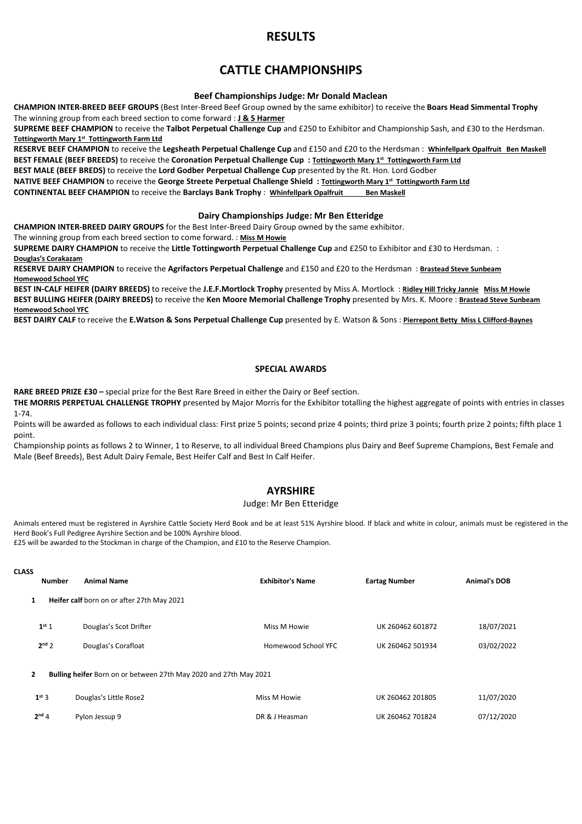# RESULTS

# CATTLE CHAMPIONSHIPS

### Beef Championships Judge: Mr Donald Maclean

CHAMPION INTER-BREED BEEF GROUPS (Best Inter-Breed Beef Group owned by the same exhibitor) to receive the Boars Head Simmental Trophy The winning group from each breed section to come forward : J & S Harmer

SUPREME BEEF CHAMPION to receive the Talbot Perpetual Challenge Cup and £250 to Exhibitor and Championship Sash, and £30 to the Herdsman. Tottingworth Mary 1<sup>st</sup> Tottingworth Farm Ltd

RESERVE BEEF CHAMPION to receive the Legsheath Perpetual Challenge Cup and £150 and £20 to the Herdsman : Whinfellpark Opalfruit Ben Maskell BEST FEMALE (BEEF BREEDS) to receive the Coronation Perpetual Challenge Cup : Tottingworth Mary 1st Tottingworth Farm Ltd

BEST MALE (BEEF BREDS) to receive the Lord Godber Perpetual Challenge Cup presented by the Rt. Hon. Lord Godber

NATIVE BEEF CHAMPION to receive the George Streete Perpetual Challenge Shield: Tottingworth Mary 1st Tottingworth Farm Ltd

CONTINENTAL BEEF CHAMPION to receive the Barclays Bank Trophy : Whinfellpark Opalfruit Ben Maskell

### Dairy Championships Judge: Mr Ben Etteridge

CHAMPION INTER-BREED DAIRY GROUPS for the Best Inter-Breed Dairy Group owned by the same exhibitor.

The winning group from each breed section to come forward. : Miss M Howie

SUPREME DAIRY CHAMPION to receive the Little Tottingworth Perpetual Challenge Cup and £250 to Exhibitor and £30 to Herdsman. : Douglas's Corakazam

RESERVE DAIRY CHAMPION to receive the Agrifactors Perpetual Challenge and £150 and £20 to the Herdsman : Brastead Steve Sunbeam Homewood School YFC

BEST IN-CALF HEIFER (DAIRY BREEDS) to receive the J.E.F.Mortlock Trophy presented by Miss A. Mortlock : Ridley Hill Tricky Jannie Miss M Howie BEST BULLING HEIFER (DAIRY BREEDS) to receive the Ken Moore Memorial Challenge Trophy presented by Mrs. K. Moore : Brastead Steve Sunbeam Homewood School YFC

BEST DAIRY CALF to receive the E.Watson & Sons Perpetual Challenge Cup presented by E. Watson & Sons : Pierrepont Betty Miss L Clifford-Baynes

## SPECIAL AWARDS

RARE BREED PRIZE £30 – special prize for the Best Rare Breed in either the Dairy or Beef section.

THE MORRIS PERPETUAL CHALLENGE TROPHY presented by Major Morris for the Exhibitor totalling the highest aggregate of points with entries in classes 1-74.

Points will be awarded as follows to each individual class: First prize 5 points; second prize 4 points; third prize 3 points; fourth prize 2 points; fifth place 1 point.

Championship points as follows 2 to Winner, 1 to Reserve, to all individual Breed Champions plus Dairy and Beef Supreme Champions, Best Female and Male (Beef Breeds), Best Adult Dairy Female, Best Heifer Calf and Best In Calf Heifer.

# AYRSHIRE

### Judge: Mr Ben Etteridge

Animals entered must be registered in Ayrshire Cattle Society Herd Book and be at least 51% Ayrshire blood. If black and white in colour, animals must be registered in the Herd Book's Full Pedigree Ayrshire Section and be 100% Ayrshire blood.

£25 will be awarded to the Stockman in charge of the Champion, and £10 to the Reserve Champion.

| <b>CLASS</b> | <b>Number</b>                                                     | <b>Animal Name</b>                         | <b>Exhibitor's Name</b> | <b>Eartag Number</b> | <b>Animal's DOB</b> |
|--------------|-------------------------------------------------------------------|--------------------------------------------|-------------------------|----------------------|---------------------|
| 1            |                                                                   | Heifer calf born on or after 27th May 2021 |                         |                      |                     |
|              | 1 <sup>st</sup> 1                                                 | Douglas's Scot Drifter                     | Miss M Howie            | UK 260462 601872     | 18/07/2021          |
|              | $2nd$ 2                                                           | Douglas's Corafloat                        | Homewood School YFC     | UK 260462 501934     | 03/02/2022          |
| $\mathbf{2}$ | Bulling heifer Born on or between 27th May 2020 and 27th May 2021 |                                            |                         |                      |                     |
|              | $1st$ 3                                                           | Douglas's Little Rose2                     | Miss M Howie            | UK 260462 201805     | 11/07/2020          |
|              | 2 <sup>nd</sup> 4                                                 | Pylon Jessup 9                             | DR & J Heasman          | UK 260462 701824     | 07/12/2020          |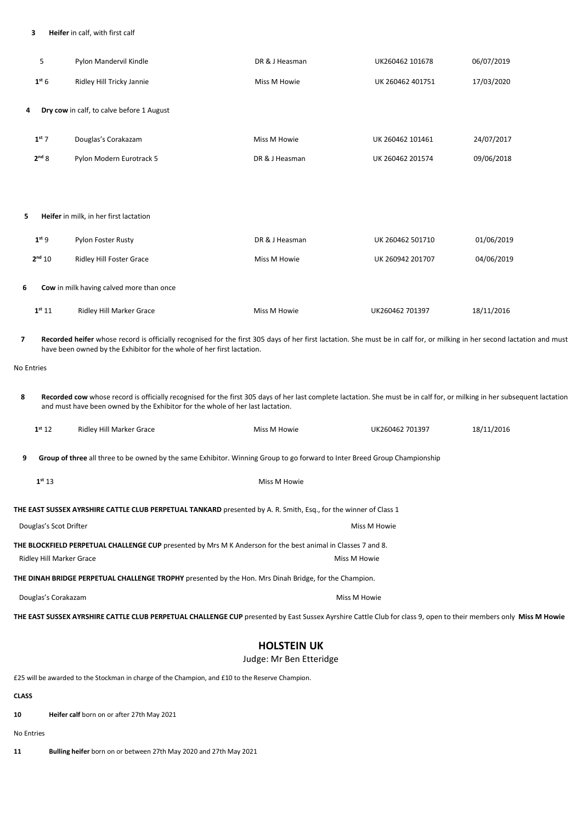### 3 Heifer in calf, with first calf

|            | 5                                                                                                                                                        | Pylon Mandervil Kindle                                                                                                                                                                                                                                      | DR & J Heasman | UK260462 101678  | 06/07/2019 |  |
|------------|----------------------------------------------------------------------------------------------------------------------------------------------------------|-------------------------------------------------------------------------------------------------------------------------------------------------------------------------------------------------------------------------------------------------------------|----------------|------------------|------------|--|
|            | 1 <sup>st</sup> 6                                                                                                                                        | Ridley Hill Tricky Jannie                                                                                                                                                                                                                                   | Miss M Howie   | UK 260462 401751 | 17/03/2020 |  |
| 4          | Dry cow in calf, to calve before 1 August                                                                                                                |                                                                                                                                                                                                                                                             |                |                  |            |  |
|            | $1st$ 7                                                                                                                                                  | Douglas's Corakazam                                                                                                                                                                                                                                         | Miss M Howie   | UK 260462 101461 | 24/07/2017 |  |
|            | 2 <sup>nd</sup> 8                                                                                                                                        | Pylon Modern Eurotrack 5                                                                                                                                                                                                                                    | DR & J Heasman | UK 260462 201574 | 09/06/2018 |  |
|            |                                                                                                                                                          |                                                                                                                                                                                                                                                             |                |                  |            |  |
| 5          |                                                                                                                                                          | Heifer in milk, in her first lactation                                                                                                                                                                                                                      |                |                  |            |  |
|            | 1 <sup>st</sup> 9                                                                                                                                        | Pylon Foster Rusty                                                                                                                                                                                                                                          | DR & J Heasman | UK 260462 501710 | 01/06/2019 |  |
|            | 2 <sup>nd</sup> 10                                                                                                                                       | Ridley Hill Foster Grace                                                                                                                                                                                                                                    | Miss M Howie   | UK 260942 201707 | 04/06/2019 |  |
| 6          |                                                                                                                                                          | Cow in milk having calved more than once                                                                                                                                                                                                                    |                |                  |            |  |
|            | 1 <sup>st</sup> 11                                                                                                                                       | Ridley Hill Marker Grace                                                                                                                                                                                                                                    | Miss M Howie   | UK260462 701397  | 18/11/2016 |  |
| 7          |                                                                                                                                                          | Recorded heifer whose record is officially recognised for the first 305 days of her first lactation. She must be in calf for, or milking in her second lactation and must<br>have been owned by the Exhibitor for the whole of her first lactation.         |                |                  |            |  |
| No Entries |                                                                                                                                                          |                                                                                                                                                                                                                                                             |                |                  |            |  |
| 8          |                                                                                                                                                          | Recorded cow whose record is officially recognised for the first 305 days of her last complete lactation. She must be in calf for, or milking in her subsequent lactation<br>and must have been owned by the Exhibitor for the whole of her last lactation. |                |                  |            |  |
|            | 1 <sup>st</sup> 12                                                                                                                                       | Ridley Hill Marker Grace                                                                                                                                                                                                                                    | Miss M Howie   | UK260462 701397  | 18/11/2016 |  |
| 9          |                                                                                                                                                          | Group of three all three to be owned by the same Exhibitor. Winning Group to go forward to Inter Breed Group Championship                                                                                                                                   |                |                  |            |  |
|            | 1 <sup>st</sup> 13                                                                                                                                       |                                                                                                                                                                                                                                                             | Miss M Howie   |                  |            |  |
|            |                                                                                                                                                          | THE EAST SUSSEX AYRSHIRE CATTLE CLUB PERPETUAL TANKARD presented by A. R. Smith, Esq., for the winner of Class 1                                                                                                                                            |                |                  |            |  |
|            | Douglas's Scot Drifter                                                                                                                                   |                                                                                                                                                                                                                                                             |                | Miss M Howie     |            |  |
|            | THE BLOCKFIELD PERPETUAL CHALLENGE CUP presented by Mrs M K Anderson for the best animal in Classes 7 and 8.<br>Ridley Hill Marker Grace<br>Miss M Howie |                                                                                                                                                                                                                                                             |                |                  |            |  |
|            | <b>THE DINAH BRIDGE PERPETUAL CHALLENGE TROPHY</b> presented by the Hon. Mrs Dinah Bridge, for the Champion.                                             |                                                                                                                                                                                                                                                             |                |                  |            |  |
|            | Douglas's Corakazam<br>Miss M Howie                                                                                                                      |                                                                                                                                                                                                                                                             |                |                  |            |  |
|            |                                                                                                                                                          | THE EAST SUSSEX AYRSHIRE CATTLE CLUB PERPETUAL CHALLENGE CUP presented by East Sussex Ayrshire Cattle Club for class 9, open to their members only Miss M Howie                                                                                             |                |                  |            |  |
|            | <b>HOLSTEIN UK</b><br>Judge: Mr Ben Etteridge                                                                                                            |                                                                                                                                                                                                                                                             |                |                  |            |  |

£25 will be awarded to the Stockman in charge of the Champion, and £10 to the Reserve Champion.

## CLASS

10 Heifer calf born on or after 27th May 2021

No Entries

11 Bulling heifer born on or between 27th May 2020 and 27th May 2021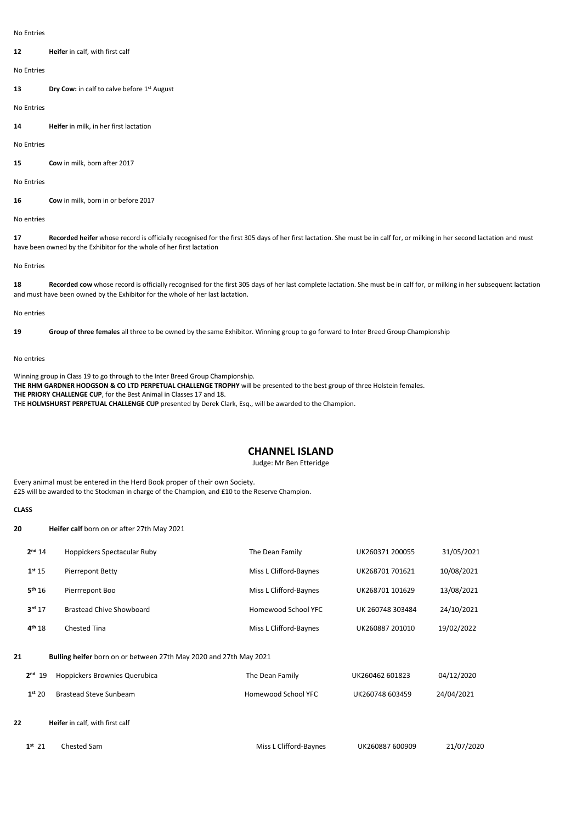No Entries

12 **Heifer** in calf, with first calf

No Entries

13 Dry Cow: in calf to calve before 1st August

No Entries

14 Heifer in milk, in her first lactation

No Entries

15 Cow in milk, born after 2017

No Entries

16 Cow in milk, born in or before 2017

No entries

17 Recorded heifer whose record is officially recognised for the first 305 days of her first lactation. She must be in calf for, or milking in her second lactation and must have been owned by the Exhibitor for the whole of her first lactation

No Entries

18 Recorded cow whose record is officially recognised for the first 305 days of her last complete lactation. She must be in calf for, or milking in her subsequent lactation and must have been owned by the Exhibitor for the whole of her last lactation.

No entries

19 Group of three females all three to be owned by the same Exhibitor. Winning group to go forward to Inter Breed Group Championship

No entries

Winning group in Class 19 to go through to the Inter Breed Group Championship. THE RHM GARDNER HODGSON & CO LTD PERPETUAL CHALLENGE TROPHY will be presented to the best group of three Holstein females. THE PRIORY CHALLENGE CUP, for the Best Animal in Classes 17 and 18. THE HOLMSHURST PERPETUAL CHALLENGE CUP presented by Derek Clark, Esq., will be awarded to the Champion.

## CHANNEL ISLAND

Judge: Mr Ben Etteridge

Every animal must be entered in the Herd Book proper of their own Society. £25 will be awarded to the Stockman in charge of the Champion, and £10 to the Reserve Champion.

#### **CLASS**

20 Heifer calf born on or after 27th May 2021

|    | 2 <sup>nd</sup> 14 | Hoppickers Spectacular Ruby                                       | The Dean Family        | UK260371 200055  | 31/05/2021 |
|----|--------------------|-------------------------------------------------------------------|------------------------|------------------|------------|
|    | 1 <sup>st</sup> 15 | Pierrepont Betty                                                  | Miss L Clifford-Baynes | UK268701 701621  | 10/08/2021 |
|    | 5 <sup>th</sup> 16 | Pierrrepont Boo                                                   | Miss L Clifford-Baynes | UK268701 101629  | 13/08/2021 |
|    | 3 <sup>rd</sup> 17 | Brastead Chive Showboard                                          | Homewood School YFC    | UK 260748 303484 | 24/10/2021 |
|    | 4 <sup>th</sup> 18 | <b>Chested Tina</b>                                               | Miss L Clifford-Baynes | UK260887 201010  | 19/02/2022 |
| 21 |                    | Bulling heifer born on or between 27th May 2020 and 27th May 2021 |                        |                  |            |
|    | $2nd$ 19           | Hoppickers Brownies Querubica                                     | The Dean Family        | UK260462 601823  | 04/12/2020 |
|    | 1 <sup>st</sup> 20 | <b>Brastead Steve Sunbeam</b>                                     | Homewood School YFC    | UK260748 603459  | 24/04/2021 |
| 22 |                    | Heifer in calf, with first calf                                   |                        |                  |            |
|    | $1^{st}$ 21        | Chested Sam                                                       | Miss L Clifford-Baynes | UK260887 600909  | 21/07/2020 |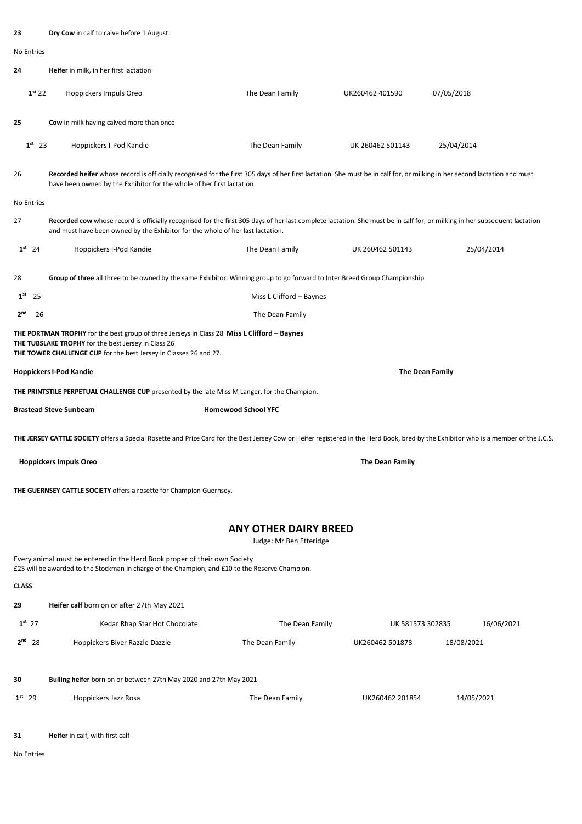| 23                    | Dry Cow in calf to calve before 1 August                                                                                                                                                                                                                    |                                                         |                  |                        |  |
|-----------------------|-------------------------------------------------------------------------------------------------------------------------------------------------------------------------------------------------------------------------------------------------------------|---------------------------------------------------------|------------------|------------------------|--|
| No Entries            |                                                                                                                                                                                                                                                             |                                                         |                  |                        |  |
| 24                    | Heifer in milk, in her first lactation                                                                                                                                                                                                                      |                                                         |                  |                        |  |
| 1 <sup>st</sup> 22    | Hoppickers Impuls Oreo                                                                                                                                                                                                                                      | The Dean Family                                         | UK260462 401590  | 07/05/2018             |  |
| 25                    | Cow in milk having calved more than once                                                                                                                                                                                                                    |                                                         |                  |                        |  |
| $1st$ 23              | Hoppickers I-Pod Kandie                                                                                                                                                                                                                                     | The Dean Family                                         | UK 260462 501143 | 25/04/2014             |  |
| 26                    | Recorded heifer whose record is officially recognised for the first 305 days of her first lactation. She must be in calf for, or milking in her second lactation and must<br>have been owned by the Exhibitor for the whole of her first lactation          |                                                         |                  |                        |  |
| <b>No Entries</b>     |                                                                                                                                                                                                                                                             |                                                         |                  |                        |  |
| 27                    | Recorded cow whose record is officially recognised for the first 305 days of her last complete lactation. She must be in calf for, or milking in her subsequent lactation<br>and must have been owned by the Exhibitor for the whole of her last lactation. |                                                         |                  |                        |  |
| $1st$ 24              | Hoppickers I-Pod Kandie                                                                                                                                                                                                                                     | The Dean Family                                         | UK 260462 501143 | 25/04/2014             |  |
| 28                    | Group of three all three to be owned by the same Exhibitor. Winning group to go forward to Inter Breed Group Championship                                                                                                                                   |                                                         |                  |                        |  |
| 1 <sup>st</sup><br>25 |                                                                                                                                                                                                                                                             | Miss L Clifford - Baynes                                |                  |                        |  |
| 2 <sup>nd</sup><br>26 |                                                                                                                                                                                                                                                             | The Dean Family                                         |                  |                        |  |
|                       | THE PORTMAN TROPHY for the best group of three Jerseys in Class 28 Miss L Clifford - Baynes<br>THE TUBSLAKE TROPHY for the best Jersey in Class 26<br>THE TOWER CHALLENGE CUP for the best Jersey in Classes 26 and 27.                                     |                                                         |                  |                        |  |
|                       | <b>Hoppickers I-Pod Kandie</b>                                                                                                                                                                                                                              |                                                         |                  | <b>The Dean Family</b> |  |
|                       | THE PRINTSTILE PERPETUAL CHALLENGE CUP presented by the late Miss M Langer, for the Champion.                                                                                                                                                               |                                                         |                  |                        |  |
|                       | <b>Brastead Steve Sunbeam</b>                                                                                                                                                                                                                               | <b>Homewood School YFC</b>                              |                  |                        |  |
|                       | THE JERSEY CATTLE SOCIETY offers a Special Rosette and Prize Card for the Best Jersey Cow or Heifer registered in the Herd Book, bred by the Exhibitor who is a member of the J.C.S.                                                                        |                                                         |                  |                        |  |
|                       | <b>Hoppickers Impuls Oreo</b>                                                                                                                                                                                                                               |                                                         | The Dean Family  |                        |  |
|                       | THE GUERNSEY CATTLE SOCIETY offers a rosette for Champion Guernsey.                                                                                                                                                                                         |                                                         |                  |                        |  |
|                       |                                                                                                                                                                                                                                                             | <b>ANY OTHER DAIRY BREED</b><br>Judge: Mr Ben Etteridge |                  |                        |  |
|                       | Every animal must be entered in the Herd Book proper of their own Society<br>£25 will be awarded to the Stockman in charge of the Champion, and £10 to the Reserve Champion.                                                                                |                                                         |                  |                        |  |
| <b>CLASS</b>          |                                                                                                                                                                                                                                                             |                                                         |                  |                        |  |
| 29                    | Heifer calf born on or after 27th May 2021                                                                                                                                                                                                                  |                                                         |                  |                        |  |
| $1^{st}$ 27           | Kedar Rhap Star Hot Chocolate                                                                                                                                                                                                                               | The Dean Family                                         | UK 581573 302835 | 16/06/2021             |  |
| $2nd$ 28              | Hoppickers Biver Razzle Dazzle                                                                                                                                                                                                                              | The Dean Family                                         | UK260462 501878  | 18/08/2021             |  |
| 30                    | Bulling heifer born on or between 27th May 2020 and 27th May 2021                                                                                                                                                                                           |                                                         |                  |                        |  |
| $1st$ 29              | Hoppickers Jazz Rosa                                                                                                                                                                                                                                        | The Dean Family                                         | UK260462 201854  | 14/05/2021             |  |
|                       |                                                                                                                                                                                                                                                             |                                                         |                  |                        |  |

31 Heifer in calf, with first calf

No Entries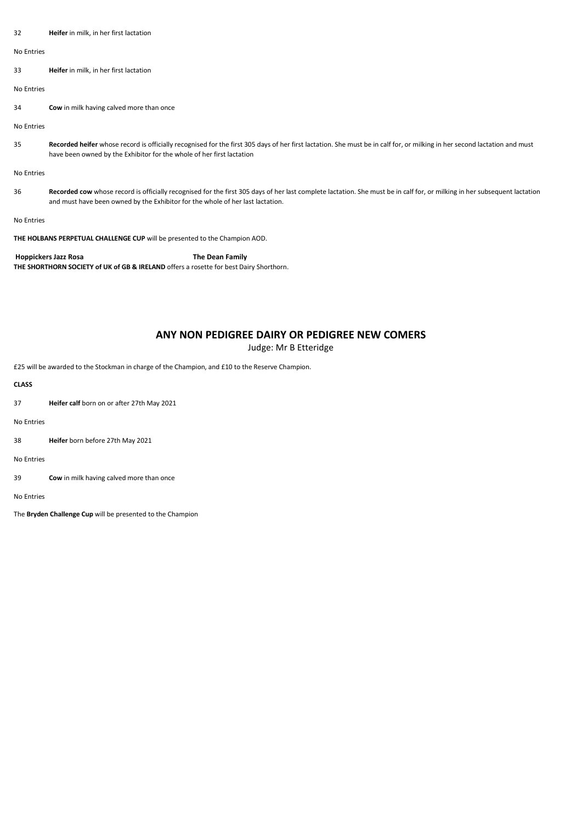| 32                                                                         | Heifer in milk, in her first lactation                                                                                                                                                                                                                      |  |
|----------------------------------------------------------------------------|-------------------------------------------------------------------------------------------------------------------------------------------------------------------------------------------------------------------------------------------------------------|--|
| No Entries                                                                 |                                                                                                                                                                                                                                                             |  |
| 33                                                                         | Heifer in milk, in her first lactation                                                                                                                                                                                                                      |  |
| No Entries                                                                 |                                                                                                                                                                                                                                                             |  |
| 34                                                                         | Cow in milk having calved more than once                                                                                                                                                                                                                    |  |
| No Entries                                                                 |                                                                                                                                                                                                                                                             |  |
| 35                                                                         | Recorded heifer whose record is officially recognised for the first 305 days of her first lactation. She must be in calf for, or milking in her second lactation and must<br>have been owned by the Exhibitor for the whole of her first lactation          |  |
| No Entries                                                                 |                                                                                                                                                                                                                                                             |  |
| 36                                                                         | Recorded cow whose record is officially recognised for the first 305 days of her last complete lactation. She must be in calf for, or milking in her subsequent lactation<br>and must have been owned by the Exhibitor for the whole of her last lactation. |  |
| No Entries                                                                 |                                                                                                                                                                                                                                                             |  |
| THE HOLBANS PERPETUAL CHALLENGE CUP will be presented to the Champion AOD. |                                                                                                                                                                                                                                                             |  |

Hoppickers Jazz Rosa The Dean Family THE SHORTHORN SOCIETY of UK of GB & IRELAND offers a rosette for best Dairy Shorthorn.

# ANY NON PEDIGREE DAIRY OR PEDIGREE NEW COMERS

Judge: Mr B Etteridge

£25 will be awarded to the Stockman in charge of the Champion, and £10 to the Reserve Champion.

### CLASS

37 Heifer calf born on or after 27th May 2021

No Entries

38 Heifer born before 27th May 2021

No Entries

39 Cow in milk having calved more than once

No Entries

The Bryden Challenge Cup will be presented to the Champion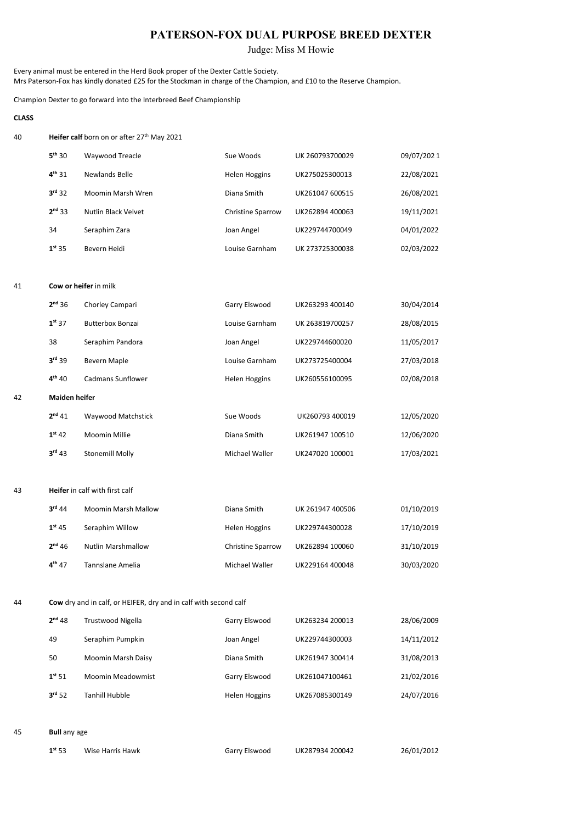# PATERSON-FOX DUAL PURPOSE BREED DEXTER

Judge: Miss M Howie

Every animal must be entered in the Herd Book proper of the Dexter Cattle Society. Mrs Paterson-Fox has kindly donated £25 for the Stockman in charge of the Champion, and £10 to the Reserve Champion.

Champion Dexter to go forward into the Interbreed Beef Championship

### **CLASS**

42

40 **Heifer calf** born on or after 27<sup>th</sup> May 2021

| $5th$ 30           | Waywood Treacle     | Sue Woods                | UK 260793700029 | 09/07/2021 |
|--------------------|---------------------|--------------------------|-----------------|------------|
| $4^{th}31$         | Newlands Belle      | <b>Helen Hoggins</b>     | UK275025300013  | 22/08/2021 |
| $3rd$ 32           | Moomin Marsh Wren   | Diana Smith              | UK261047 600515 | 26/08/2021 |
| $2nd$ 33           | Nutlin Black Velvet | <b>Christine Sparrow</b> | UK262894 400063 | 19/11/2021 |
| 34                 | Seraphim Zara       | Joan Angel               | UK229744700049  | 04/01/2022 |
| 1 <sup>st</sup> 35 | Bevern Heidi        | Louise Garnham           | UK 273725300038 | 02/03/2022 |
|                    |                     |                          |                 |            |

#### 41 Cow or heifer in milk

| $2nd$ 36             | Chorley Campari      | Garry Elswood        | UK263293 400140 | 30/04/2014 |
|----------------------|----------------------|----------------------|-----------------|------------|
| 1 <sup>st</sup> 37   | Butterbox Bonzai     | Louise Garnham       | UK 263819700257 | 28/08/2015 |
| 38                   | Seraphim Pandora     | Joan Angel           | UK229744600020  | 11/05/2017 |
| $3rd$ 39             | Bevern Maple         | Louise Garnham       | UK273725400004  | 27/03/2018 |
| $4^{th}$ 40          | Cadmans Sunflower    | <b>Helen Hoggins</b> | UK260556100095  | 02/08/2018 |
| <b>Maiden heifer</b> |                      |                      |                 |            |
| 2 <sup>nd</sup> 41   | Waywood Matchstick   | Sue Woods            | UK260793 400019 | 12/05/2020 |
| 1 <sup>st</sup> 42   | <b>Moomin Millie</b> | Diana Smith          | UK261947 100510 | 12/06/2020 |
| $3rd$ 43             | Stonemill Molly      | Michael Waller       | UK247020 100001 | 17/03/2021 |

#### 43 Heifer in calf with first calf

| $3rd$ 44           | <b>Moomin Marsh Mallow</b> | Diana Smith              | UK 261947 400506 | 01/10/2019 |
|--------------------|----------------------------|--------------------------|------------------|------------|
| $1^{st}$ 45        | Seraphim Willow            | Helen Hoggins            | UK229744300028   | 17/10/2019 |
| 2 <sup>nd</sup> 46 | <b>Nutlin Marshmallow</b>  | <b>Christine Sparrow</b> | UK262894 100060  | 31/10/2019 |
| $4^{th}$ 47        | Tannslane Amelia           | Michael Waller           | UK229164 400048  | 30/03/2020 |

#### 44 Cow dry and in calf, or HEIFER, dry and in calf with second calf

| 2 <sup>nd</sup> 48 | Trustwood Nigella        | Garry Elswood        | UK263234 200013 | 28/06/2009 |
|--------------------|--------------------------|----------------------|-----------------|------------|
| 49                 | Seraphim Pumpkin         | Joan Angel           | UK229744300003  | 14/11/2012 |
| 50                 | Moomin Marsh Daisy       | Diana Smith          | UK261947 300414 | 31/08/2013 |
| $1^{st} 51$        | <b>Moomin Meadowmist</b> | Garry Elswood        | UK261047100461  | 21/02/2016 |
| 3 <sup>rd</sup> 52 | Tanhill Hubble           | <b>Helen Hoggins</b> | UK267085300149  | 24/07/2016 |

### 45 Bull any age

| $1^{st} 53$ | Wise Harris Hawk | Garry Elswood | UK2879342 |
|-------------|------------------|---------------|-----------|
|             |                  |               |           |

1st 53 Wise Harris Hawk Garry Elswood UK287934 200042 26/01/2012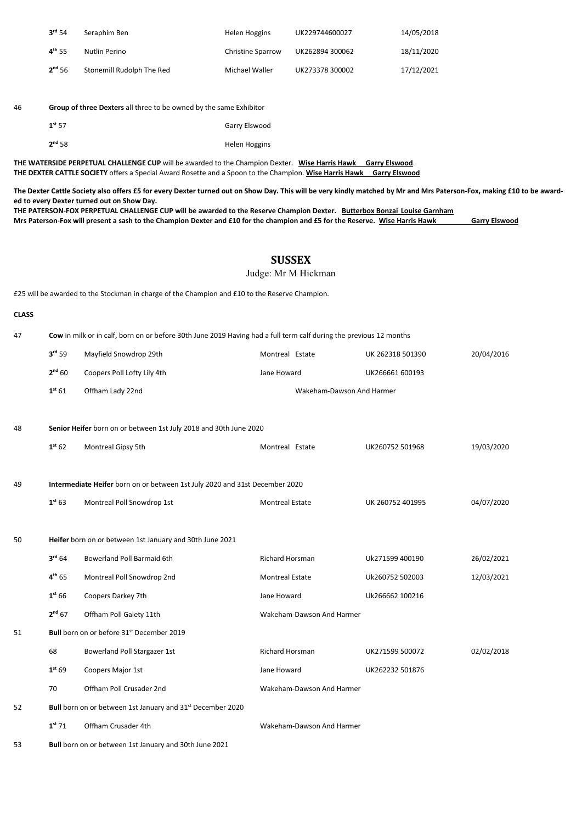| 3 <sup>rd</sup> 54 | Seraphim Ben              | Helen Hoggins            | UK229744600027  | 14/05/2018 |
|--------------------|---------------------------|--------------------------|-----------------|------------|
| $4^{\text{th}}$ 55 | Nutlin Perino             | <b>Christine Sparrow</b> | UK262894 300062 | 18/11/2020 |
| 2 <sup>nd</sup> 56 | Stonemill Rudolph The Red | Michael Waller           | UK273378 300002 | 17/12/2021 |

# 46 Group of three Dexters all three to be owned by the same Exhibitor

| $1^{st} 57$ | Garry Elswood |
|-------------|---------------|
| $2^{nd}58$  | Helen Hoggins |

THE WATERSIDE PERPETUAL CHALLENGE CUP will be awarded to the Champion Dexter. Wise Harris Hawk Garry Elswood THE DEXTER CATTLE SOCIETY offers a Special Award Rosette and a Spoon to the Champion. Wise Harris Hawk Garry Elswood

The Dexter Cattle Society also offers £5 for every Dexter turned out on Show Day. This will be very kindly matched by Mr and Mrs Paterson-Fox, making £10 to be awarded to every Dexter turned out on Show Day.

| THE PATERSON-FOX PERPETUAL CHALLENGE CUP will be awarded to the Reserve Champion Dexter. Butterbox Bonzai Louise Garnham      |                      |
|-------------------------------------------------------------------------------------------------------------------------------|----------------------|
| Mrs Paterson-Fox will present a sash to the Champion Dexter and £10 for the champion and £5 for the Reserve. Wise Harris Hawk | <b>Garry Elswood</b> |

## SUSSEX

Judge: Mr M Hickman

£25 will be awarded to the Stockman in charge of the Champion and £10 to the Reserve Champion.

### CLASS

47 Cow in milk or in calf, born on or before 30th June 2019 Having had a full term calf during the previous 12 months

| 3 <sup>rd</sup> 59 | Mayfield Snowdrop 29th      | Montreal Estate           | UK 262318 501390 | 20/04/2016 |
|--------------------|-----------------------------|---------------------------|------------------|------------|
| 2 <sup>nd</sup> 60 | Coopers Poll Lofty Lily 4th | Jane Howard               | UK266661 600193  |            |
| 1 <sup>st</sup> 61 | Offham Lady 22nd            | Wakeham-Dawson And Harmer |                  |            |

#### 48 Senior Heifer born on or between 1st July 2018 and 30th June 2020

|    | 1 <sup>st</sup> 62 | Montreal Gipsy 5th                                                          | Montreal Estate           | UK260752 501968  | 19/03/2020 |
|----|--------------------|-----------------------------------------------------------------------------|---------------------------|------------------|------------|
| 49 |                    | Intermediate Heifer born on or between 1st July 2020 and 31st December 2020 |                           |                  |            |
|    | 1 <sup>st</sup> 63 | Montreal Poll Snowdrop 1st                                                  | <b>Montreal Estate</b>    | UK 260752 401995 | 04/07/2020 |
| 50 |                    | Heifer born on or between 1st January and 30th June 2021                    |                           |                  |            |
|    | 3 <sup>rd</sup> 64 | <b>Bowerland Poll Barmaid 6th</b>                                           | <b>Richard Horsman</b>    | Uk271599 400190  | 26/02/2021 |
|    | $4^{th} 65$        | Montreal Poll Snowdrop 2nd                                                  | <b>Montreal Estate</b>    | Uk260752 502003  | 12/03/2021 |
|    | 1 <sup>st</sup> 66 | Coopers Darkey 7th                                                          | Jane Howard               | Uk266662 100216  |            |
|    | 2 <sup>nd</sup> 67 | Offham Poll Gaiety 11th                                                     | Wakeham-Dawson And Harmer |                  |            |
| 51 |                    | Bull born on or before 31 <sup>st</sup> December 2019                       |                           |                  |            |
|    | 68                 | Bowerland Poll Stargazer 1st                                                | <b>Richard Horsman</b>    | UK271599 500072  | 02/02/2018 |
|    | 1 <sup>st</sup> 69 | Coopers Major 1st                                                           | Jane Howard               | UK262232 501876  |            |
|    | 70                 | Offham Poll Crusader 2nd                                                    | Wakeham-Dawson And Harmer |                  |            |
| 52 |                    | Bull born on or between 1st January and 31 <sup>st</sup> December 2020      |                           |                  |            |
|    | $1^{st} 71$        | Offham Crusader 4th                                                         | Wakeham-Dawson And Harmer |                  |            |

53 Bull born on or between 1st January and 30th June 2021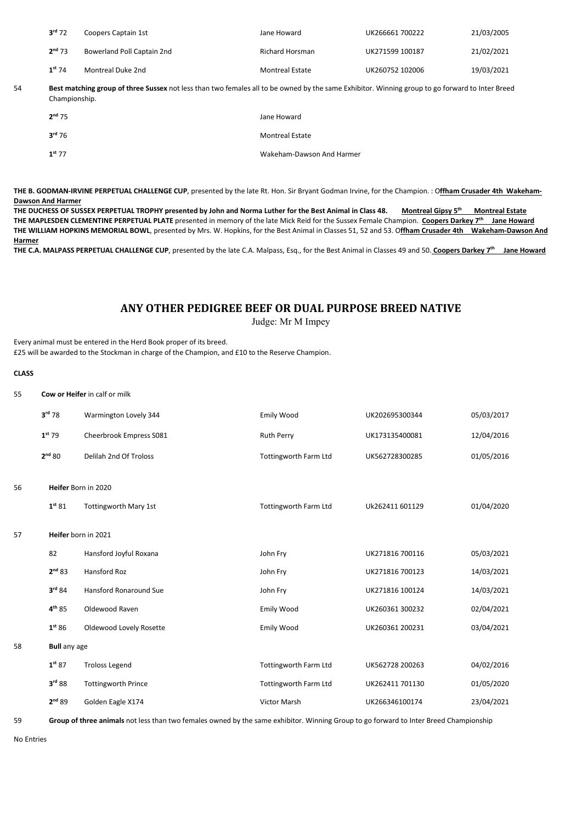| $3^{\text{rd}}$ 72 | Coopers Captain 1st        | Jane Howard            | UK266661 700222 | 21/03/2005 |
|--------------------|----------------------------|------------------------|-----------------|------------|
| $2^{nd}$ 73        | Bowerland Poll Captain 2nd | <b>Richard Horsman</b> | UK271599 100187 | 21/02/2021 |
| $1st$ 74           | Montreal Duke 2nd          | <b>Montreal Estate</b> | UK260752 102006 | 19/03/2021 |

54 Best matching group of three Sussex not less than two females all to be owned by the same Exhibitor. Winning group to go forward to Inter Breed Championship.

| $2^{nd}$ 75        | Jane Howard               |
|--------------------|---------------------------|
| $3^{\text{rd}}$ 76 | <b>Montreal Estate</b>    |
| $1^{st}$ 77        | Wakeham-Dawson And Harmer |

THE B. GODMAN-IRVINE PERPETUAL CHALLENGE CUP, presented by the late Rt. Hon. Sir Bryant Godman Irvine, for the Champion. : Offham Crusader 4th Wakeham-Dawson And Harmer

THE DUCHESS OF SUSSEX PERPETUAL TROPHY presented by John and Norma Luther for the Best Animal in Class 48. Montreal Gipsy 5th Montreal Estate THE MAPLESDEN CLEMENTINE PERPETUAL PLATE presented in memory of the late Mick Reid for the Sussex Female Champion. Coopers Darkey 7<sup>th</sup> Jane Howard THE WILLIAM HOPKINS MEMORIAL BOWL, presented by Mrs. W. Hopkins, for the Best Animal in Classes 51, 52 and 53. Offham Crusader 4th Wakeham-Dawson And **Harmer** 

THE C.A. MALPASS PERPETUAL CHALLENGE CUP, presented by the late C.A. Malpass, Esq., for the Best Animal in Classes 49 and 50. Coopers Darkey 7<sup>th</sup> Jane Howard

# ANY OTHER PEDIGREE BEEF OR DUAL PURPOSE BREED NATIVE

Judge: Mr M Impey

Every animal must be entered in the Herd Book proper of its breed.

£25 will be awarded to the Stockman in charge of the Champion, and £10 to the Reserve Champion.

#### **CLASS**

55 Cow or Heifer in calf or milk

|    | $3rd$ 78            | Warmington Lovely 344         | Emily Wood                   | UK202695300344  | 05/03/2017 |
|----|---------------------|-------------------------------|------------------------------|-----------------|------------|
|    | $1st$ 79            | Cheerbrook Empress S081       | <b>Ruth Perry</b>            | UK173135400081  | 12/04/2016 |
|    | 2 <sup>nd</sup> 80  | <b>Delilah 2nd Of Troloss</b> | <b>Tottingworth Farm Ltd</b> | UK562728300285  | 01/05/2016 |
| 56 |                     | Heifer Born in 2020           |                              |                 |            |
|    | 1 <sup>st</sup> 81  | <b>Tottingworth Mary 1st</b>  | <b>Tottingworth Farm Ltd</b> | Uk262411 601129 | 01/04/2020 |
| 57 |                     | Heifer born in 2021           |                              |                 |            |
|    | 82                  | Hansford Joyful Roxana        | John Fry                     | UK271816 700116 | 05/03/2021 |
|    | 2 <sup>nd</sup> 83  | Hansford Roz                  | John Fry                     | UK271816 700123 | 14/03/2021 |
|    | 3 <sup>rd</sup> 84  | <b>Hansford Ronaround Sue</b> | John Fry                     | UK271816 100124 | 14/03/2021 |
|    | 4 <sup>th</sup> 85  | Oldewood Raven                | Emily Wood                   | UK260361 300232 | 02/04/2021 |
|    | 1 <sup>st</sup> 86  | Oldewood Lovely Rosette       | Emily Wood                   | UK260361 200231 | 03/04/2021 |
| 58 | <b>Bull</b> any age |                               |                              |                 |            |
|    | 1 <sup>st</sup> 87  | <b>Troloss Legend</b>         | <b>Tottingworth Farm Ltd</b> | UK562728 200263 | 04/02/2016 |
|    | 3 <sup>rd</sup> 88  | <b>Tottingworth Prince</b>    | <b>Tottingworth Farm Ltd</b> | UK262411 701130 | 01/05/2020 |
|    | 2 <sup>nd</sup> 89  | Golden Eagle X174             | <b>Victor Marsh</b>          | UK266346100174  | 23/04/2021 |

59 Group of three animals not less than two females owned by the same exhibitor. Winning Group to go forward to Inter Breed Championship

No Entries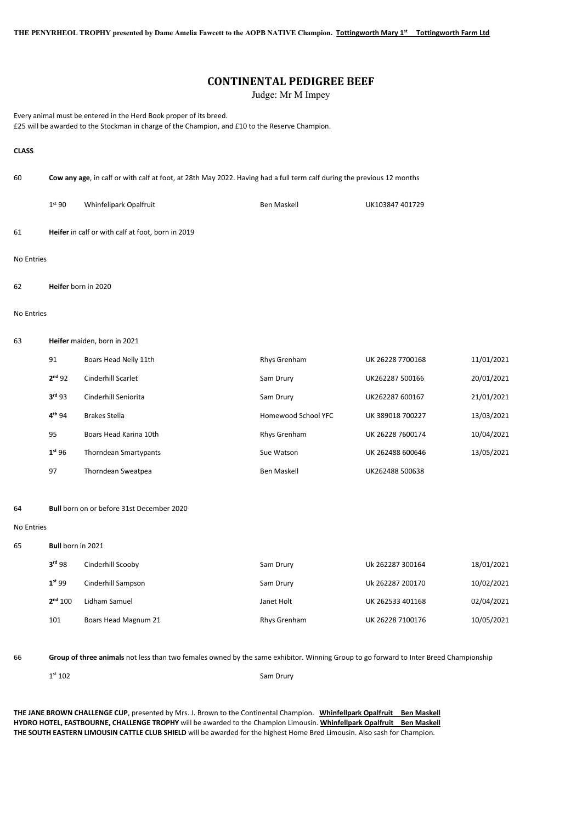THE PENYRHEOL TROPHY presented by Dame Amelia Fawcett to the AOPB NATIVE Champion. Tottingworth Mary 1st Tottingworth Farm Ltd

# CONTINENTAL PEDIGREE BEEF

Judge: Mr M Impey

Every animal must be entered in the Herd Book proper of its breed. £25 will be awarded to the Stockman in charge of the Champion, and £10 to the Reserve Champion.

#### **CLASS**

60 Cow any age, in calf or with calf at foot, at 28th May 2022. Having had a full term calf during the previous 12 months

1<sup>st</sup> 90 Whinfellpark Opalfruit 15th 2007 Ben Maskell Ben Maskell UK103847 401729

61 Heifer in calf or with calf at foot, born in 2019

#### No Entries

62 Heifer born in 2020

#### No Entries

#### 63 Heifer maiden, born in 2021

| 91                 | Boars Head Nelly 11th        | Rhys Grenham        | UK 26228 7700168 | 11/01/2021 |
|--------------------|------------------------------|---------------------|------------------|------------|
| 2 <sup>nd</sup> 92 | Cinderhill Scarlet           | Sam Drury           | UK262287 500166  | 20/01/2021 |
| 3 <sup>rd</sup> 93 | Cinderhill Seniorita         | Sam Drury           | UK262287 600167  | 21/01/2021 |
| $4^{th}94$         | Brakes Stella                | Homewood School YFC | UK 389018 700227 | 13/03/2021 |
| 95                 | Boars Head Karina 10th       | Rhys Grenham        | UK 26228 7600174 | 10/04/2021 |
| 1 <sup>st</sup> 96 | <b>Thorndean Smartypants</b> | Sue Watson          | UK 262488 600646 | 13/05/2021 |
| 97                 | <b>Thorndean Sweatpea</b>    | <b>Ben Maskell</b>  | UK262488 500638  |            |

#### 64 Bull born on or before 31st December 2020

No Entries

65 Bull born in 2021

| 3 <sup>rd</sup> 98  | Cinderhill Scooby    | Sam Drury    | Uk 262287 300164 | 18/01/2021 |
|---------------------|----------------------|--------------|------------------|------------|
| 1 <sup>st</sup> 99  | Cinderhill Sampson   | Sam Drury    | Uk 262287 200170 | 10/02/2021 |
| 2 <sup>nd</sup> 100 | Lidham Samuel        | Janet Holt   | UK 262533 401168 | 02/04/2021 |
| 101                 | Boars Head Magnum 21 | Rhys Grenham | UK 26228 7100176 | 10/05/2021 |

66 Group of three animals not less than two females owned by the same exhibitor. Winning Group to go forward to Inter Breed Championship

1st 102 Sam Drury

THE JANE BROWN CHALLENGE CUP, presented by Mrs. J. Brown to the Continental Champion. Whinfellpark Opalfruit Ben Maskell HYDRO HOTEL, EASTBOURNE, CHALLENGE TROPHY will be awarded to the Champion Limousin. Whinfellpark Opalfruit Ben Maskell THE SOUTH EASTERN LIMOUSIN CATTLE CLUB SHIELD will be awarded for the highest Home Bred Limousin. Also sash for Champion.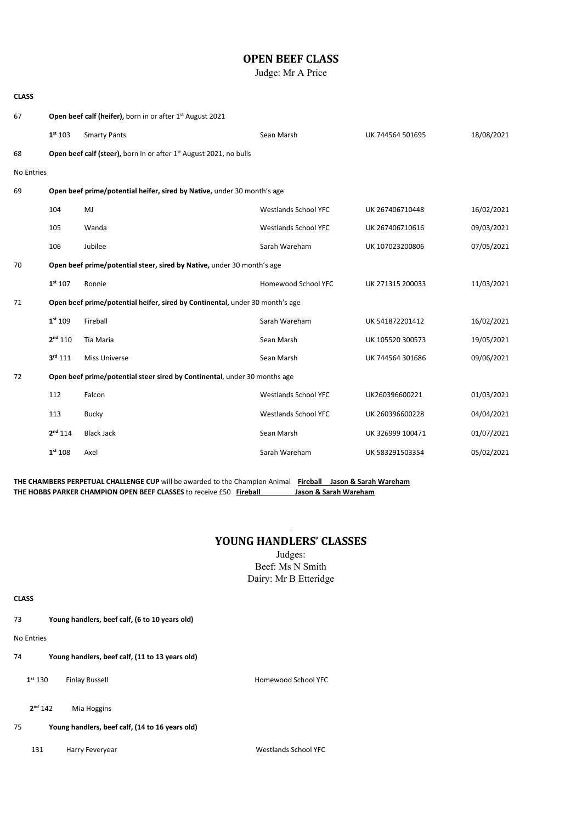# OPEN BEEF CLASS

Judge: Mr A Price

| <b>CLASS</b> |                     |                                                                                |                             |                  |            |
|--------------|---------------------|--------------------------------------------------------------------------------|-----------------------------|------------------|------------|
| 67           |                     | Open beef calf (heifer), born in or after 1 <sup>st</sup> August 2021          |                             |                  |            |
|              | 1 <sup>st</sup> 103 | <b>Smarty Pants</b>                                                            | Sean Marsh                  | UK 744564 501695 | 18/08/2021 |
| 68           |                     | Open beef calf (steer), born in or after 1 <sup>st</sup> August 2021, no bulls |                             |                  |            |
| No Entries   |                     |                                                                                |                             |                  |            |
| 69           |                     | Open beef prime/potential heifer, sired by Native, under 30 month's age        |                             |                  |            |
|              | 104                 | MJ                                                                             | <b>Westlands School YFC</b> | UK 267406710448  | 16/02/2021 |
|              | 105                 | Wanda                                                                          | <b>Westlands School YFC</b> | UK 267406710616  | 09/03/2021 |
|              | 106                 | Jubilee                                                                        | Sarah Wareham               | UK 107023200806  | 07/05/2021 |
| 70           |                     | Open beef prime/potential steer, sired by Native, under 30 month's age         |                             |                  |            |
|              | 1 <sup>st</sup> 107 | Ronnie                                                                         | Homewood School YFC         | UK 271315 200033 | 11/03/2021 |
| 71           |                     | Open beef prime/potential heifer, sired by Continental, under 30 month's age   |                             |                  |            |
|              | 1 <sup>st</sup> 109 | Fireball                                                                       | Sarah Wareham               | UK 541872201412  | 16/02/2021 |
|              | $2^{nd}$ 110        | Tia Maria                                                                      | Sean Marsh                  | UK 105520 300573 | 19/05/2021 |
|              | $3^{rd}$ 111        | <b>Miss Universe</b>                                                           | Sean Marsh                  | UK 744564 301686 | 09/06/2021 |
| 72           |                     | Open beef prime/potential steer sired by Continental, under 30 months age      |                             |                  |            |
|              | 112                 | Falcon                                                                         | <b>Westlands School YFC</b> | UK260396600221   | 01/03/2021 |
|              | 113                 | <b>Bucky</b>                                                                   | <b>Westlands School YFC</b> | UK 260396600228  | 04/04/2021 |
|              | $2^{nd}$ 114        | <b>Black Jack</b>                                                              | Sean Marsh                  | UK 326999 100471 | 01/07/2021 |
|              | 1 <sup>st</sup> 108 | Axel                                                                           | Sarah Wareham               | UK 583291503354  | 05/02/2021 |

THE CHAMBERS PERPETUAL CHALLENGE CUP will be awarded to the Champion Animal Fireball Jason & Sarah Wareham THE HOBBS PARKER CHAMPION OPEN BEEF CLASSES to receive £50 Fireball Jason & Sarah Wareham

### . YOUNG HANDLERS' CLASSES

Judges: Beef: Ms N Smith Dairy: Mr B Etteridge

**CLASS** 

73 Young handlers, beef calf, (6 to 10 years old)

No Entries

74 Young handlers, beef calf, (11 to 13 years old)

1<sup>st</sup> 130 Finlay Russell **Findall** Homewood School YFC

2<sup>nd</sup> 142 Mia Hoggins

75 Young handlers, beef calf, (14 to 16 years old)

131 Harry Feveryear National School YFC